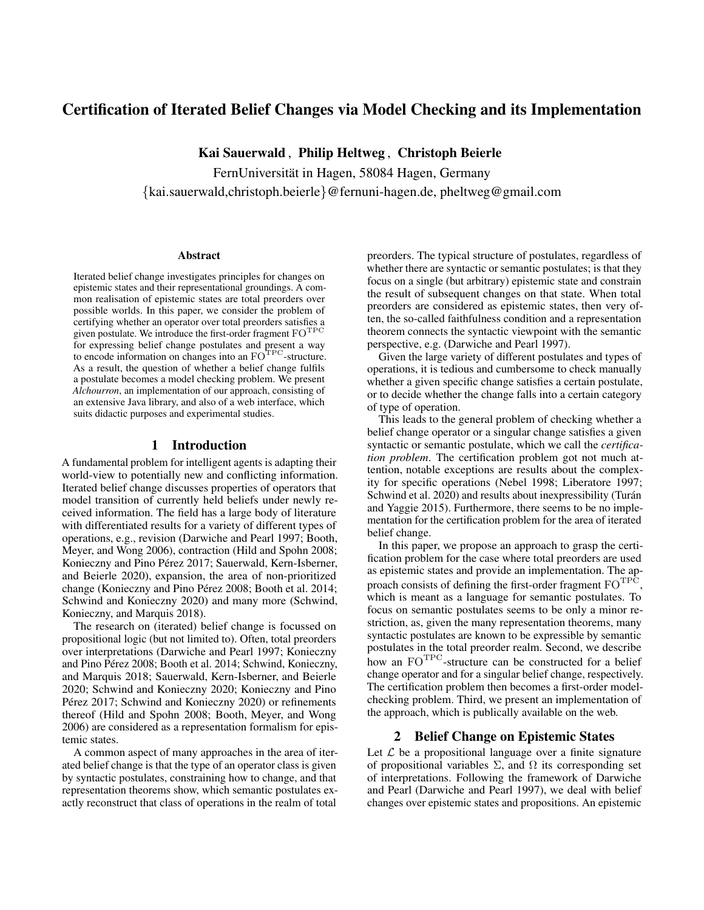# Certification of Iterated Belief Changes via Model Checking and its Implementation

Kai Sauerwald , Philip Heltweg , Christoph Beierle

FernUniversität in Hagen, 58084 Hagen, Germany {kai.sauerwald,christoph.beierle}@fernuni-hagen.de, pheltweg@gmail.com

#### **Abstract**

Iterated belief change investigates principles for changes on epistemic states and their representational groundings. A common realisation of epistemic states are total preorders over possible worlds. In this paper, we consider the problem of certifying whether an operator over total preorders satisfies a given postulate. We introduce the first-order fragment  $\mathrm{FO}^{\mathrm{TPC}}$ for expressing belief change postulates and present a way to encode information on changes into an FO<sup>TPC</sup>-structure. As a result, the question of whether a belief change fulfils a postulate becomes a model checking problem. We present *Alchourron*, an implementation of our approach, consisting of an extensive Java library, and also of a web interface, which suits didactic purposes and experimental studies.

# 1 Introduction

A fundamental problem for intelligent agents is adapting their world-view to potentially new and conflicting information. Iterated belief change discusses properties of operators that model transition of currently held beliefs under newly received information. The field has a large body of literature with differentiated results for a variety of different types of operations, e.g., revision [\(Darwiche and Pearl 1997;](#page-4-0) [Booth,](#page-4-1) [Meyer, and Wong 2006\)](#page-4-1), contraction [\(Hild and Spohn 2008;](#page-4-2) Konieczny and Pino Pérez 2017; [Sauerwald, Kern-Isberner,](#page-4-4) [and Beierle 2020\)](#page-4-4), expansion, the area of non-prioritized change (Konieczny and Pino Pérez 2008; [Booth et al](#page-4-6). 2014; [Schwind and Konieczny 2020\)](#page-4-7) and many more [\(Schwind,](#page-4-8) [Konieczny, and Marquis 2018\)](#page-4-8).

The research on (iterated) belief change is focussed on propositional logic (but not limited to). Often, total preorders over interpretations [\(Darwiche and Pearl 1997;](#page-4-0) [Konieczny](#page-4-5) and Pino Pérez 2008; [Booth et al](#page-4-6). 2014; [Schwind, Konieczny,](#page-4-8) [and Marquis 2018;](#page-4-8) [Sauerwald, Kern-Isberner, and Beierle](#page-4-4) [2020;](#page-4-4) [Schwind and Konieczny 2020;](#page-4-7) [Konieczny and Pino](#page-4-3) Pérez 2017; [Schwind and Konieczny 2020\)](#page-4-7) or refinements thereof [\(Hild and Spohn 2008;](#page-4-2) [Booth, Meyer, and Wong](#page-4-1) [2006\)](#page-4-1) are considered as a representation formalism for epistemic states.

A common aspect of many approaches in the area of iterated belief change is that the type of an operator class is given by syntactic postulates, constraining how to change, and that representation theorems show, which semantic postulates exactly reconstruct that class of operations in the realm of total preorders. The typical structure of postulates, regardless of whether there are syntactic or semantic postulates; is that they focus on a single (but arbitrary) epistemic state and constrain the result of subsequent changes on that state. When total preorders are considered as epistemic states, then very often, the so-called faithfulness condition and a representation theorem connects the syntactic viewpoint with the semantic perspective, e.g. [\(Darwiche and Pearl 1997\)](#page-4-0).

Given the large variety of different postulates and types of operations, it is tedious and cumbersome to check manually whether a given specific change satisfies a certain postulate, or to decide whether the change falls into a certain category of type of operation.

This leads to the general problem of checking whether a belief change operator or a singular change satisfies a given syntactic or semantic postulate, which we call the *certification problem*. The certification problem got not much attention, notable exceptions are results about the complexity for specific operations [\(Nebel 1998;](#page-4-9) [Liberatore 1997;](#page-4-10) [Schwind et al.](#page-4-11) 2020) and results about inexpressibility (Turán [and Yaggie 2015\)](#page-4-12). Furthermore, there seems to be no implementation for the certification problem for the area of iterated belief change.

In this paper, we propose an approach to grasp the certification problem for the case where total preorders are used as epistemic states and provide an implementation. The approach consists of defining the first-order fragment  $\mathrm{FO}^{\mathrm{TPC}},$ which is meant as a language for semantic postulates. To focus on semantic postulates seems to be only a minor restriction, as, given the many representation theorems, many syntactic postulates are known to be expressible by semantic postulates in the total preorder realm. Second, we describe how an FOTPC-structure can be constructed for a belief change operator and for a singular belief change, respectively. The certification problem then becomes a first-order modelchecking problem. Third, we present an implementation of the approach, which is publically available on the web.

## 2 Belief Change on Epistemic States

Let  $\mathcal L$  be a propositional language over a finite signature of propositional variables  $\Sigma$ , and  $\Omega$  its corresponding set of interpretations. Following the framework of Darwiche and Pearl [\(Darwiche and Pearl 1997\)](#page-4-0), we deal with belief changes over epistemic states and propositions. An epistemic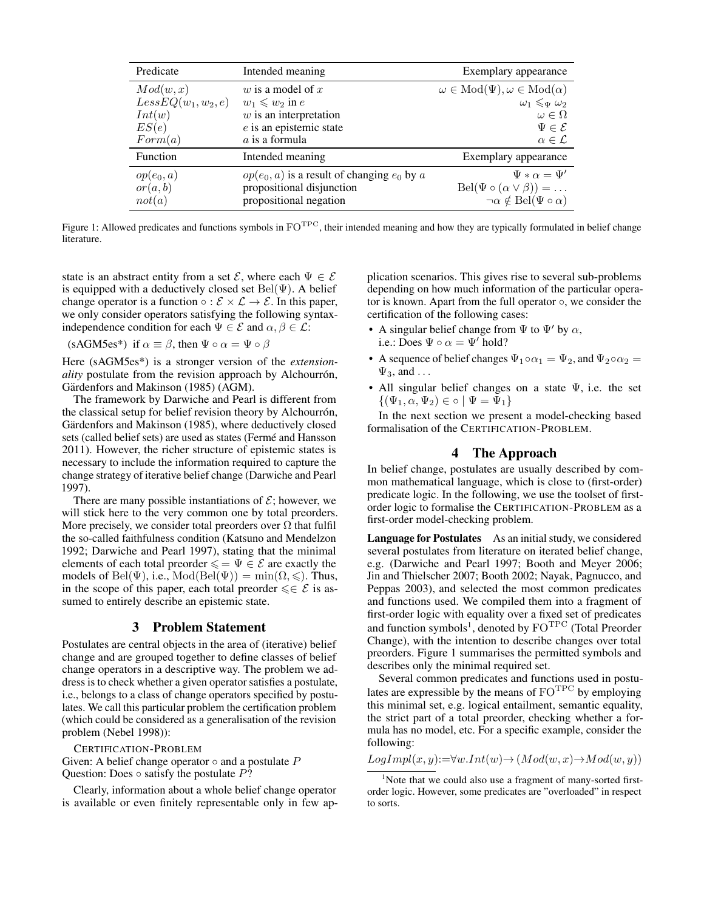<span id="page-1-2"></span>

| Predicate             | Intended meaning                                | Exemplary appearance                               |
|-----------------------|-------------------------------------------------|----------------------------------------------------|
| Mod(w, x)             | w is a model of $x$                             | $\omega \in Mod(\Psi), \omega \in Mod(\alpha)$     |
| $LessEQ(w_1, w_2, e)$ | $w_1 \leqslant w_2$ in e                        | $\omega_1 \leqslant_{\Psi} \omega_2$               |
| Int(w)                | $w$ is an interpretation                        | $\omega \in \Omega$                                |
| ES(e)                 | $e$ is an epistemic state                       | $\Psi \in \mathcal{E}$                             |
| Form(a)               | a is a formula                                  | $\alpha \in \mathcal{L}$                           |
| Function              | Intended meaning                                | Exemplary appearance                               |
| $op(e_0, a)$          | $op(e_0, a)$ is a result of changing $e_0$ by a | $\Psi * \alpha = \Psi'$                            |
| or(a,b)               | propositional disjunction                       | $Bel(\Psi \circ (\alpha \vee \beta)) = \dots$      |
| not(a)                | propositional negation                          | $\neg \alpha \notin \text{Bel}(\Psi \circ \alpha)$ |

Figure 1: Allowed predicates and functions symbols in  $FO<sup>TPC</sup>$ , their intended meaning and how they are typically formulated in belief change literature.

state is an abstract entity from a set  $\mathcal{E}$ , where each  $\Psi \in \mathcal{E}$ is equipped with a deductively closed set  $Bel(\Psi)$ . A belief change operator is a function  $\circ : \mathcal{E} \times \mathcal{L} \to \mathcal{E}$ . In this paper, we only consider operators satisfying the following syntaxindependence condition for each  $\Psi \in \mathcal{E}$  and  $\alpha, \beta \in \mathcal{L}$ :

<span id="page-1-0"></span>(sAGM5es<sup>\*</sup>) if  $\alpha \equiv \beta$ , then  $\Psi \circ \alpha = \Psi \circ \beta$ 

Here [\(sAGM5es\\*\)](#page-1-0) is a stronger version of the *extensionality* postulate from the revision approach by Alchourrón, Gärdenfors and Makinson [\(1985\)](#page-4-13) (AGM).

The framework by Darwiche and Pearl is different from the classical setup for belief revision theory by Alchourrón. Gärdenfors and Makinson [\(1985\)](#page-4-13), where deductively closed sets (called belief sets) are used as states (Fermé and Hansson [2011\)](#page-4-14). However, the richer structure of epistemic states is necessary to include the information required to capture the change strategy of iterative belief change [\(Darwiche and Pearl](#page-4-0) [1997\)](#page-4-0).

There are many possible instantiations of  $\mathcal{E}$ ; however, we will stick here to the very common one by total preorders. More precisely, we consider total preorders over  $\Omega$  that fulfil the so-called faithfulness condition [\(Katsuno and Mendelzon](#page-4-15) [1992;](#page-4-15) [Darwiche and Pearl 1997\)](#page-4-0), stating that the minimal elements of each total preorder  $\leq \psi \in \mathcal{E}$  are exactly the models of Bel(Ψ), i.e.,  $Mod(Bel(\Psi)) = min(\Omega, \leq)$ . Thus, in the scope of this paper, each total preorder  $\leq \epsilon$  is assumed to entirely describe an epistemic state.

#### 3 Problem Statement

Postulates are central objects in the area of (iterative) belief change and are grouped together to define classes of belief change operators in a descriptive way. The problem we address is to check whether a given operator satisfies a postulate, i.e., belongs to a class of change operators specified by postulates. We call this particular problem the certification problem (which could be considered as a generalisation of the revision problem [\(Nebel 1998\)](#page-4-9)):

CERTIFICATION-PROBLEM

Given: A belief change operator  $\circ$  and a postulate  $P$ Question: Does  $\circ$  satisfy the postulate  $P$ ?

Clearly, information about a whole belief change operator is available or even finitely representable only in few application scenarios. This gives rise to several sub-problems depending on how much information of the particular operator is known. Apart from the full operator ◦, we consider the certification of the following cases:

- A singular belief change from  $\Psi$  to  $\Psi'$  by  $\alpha$ , i.e.: Does  $\Psi \circ \alpha = \Psi'$  hold?
- A sequence of belief changes  $\Psi_1 \circ \alpha_1 = \Psi_2$ , and  $\Psi_2 \circ \alpha_2 =$  $\Psi_3$ , and ...
- All singular belief changes on a state  $\Psi$ , i.e. the set  $\{(\Psi_1, \alpha, \Psi_2) \in \circ \mid \Psi = \Psi_1\}$

In the next section we present a model-checking based formalisation of the CERTIFICATION-PROBLEM.

# 4 The Approach

<span id="page-1-3"></span>In belief change, postulates are usually described by common mathematical language, which is close to (first-order) predicate logic. In the following, we use the toolset of firstorder logic to formalise the CERTIFICATION-PROBLEM as a first-order model-checking problem.

Language for Postulates As an initial study, we considered several postulates from literature on iterated belief change, e.g. [\(Darwiche and Pearl 1997;](#page-4-0) [Booth and Meyer 2006;](#page-4-16) [Jin and Thielscher 2007;](#page-4-17) [Booth 2002;](#page-4-18) [Nayak, Pagnucco, and](#page-4-19) [Peppas 2003\)](#page-4-19), and selected the most common predicates and functions used. We compiled them into a fragment of first-order logic with equality over a fixed set of predicates and function symbols<sup>[1](#page-1-1)</sup>, denoted by  $\mathrm{FO}^{\mathrm{TPC}}$  (Total Preorder Change), with the intention to describe changes over total preorders. Figure [1](#page-1-2) summarises the permitted symbols and describes only the minimal required set.

Several common predicates and functions used in postulates are expressible by the means of  $FO<sup>TPC</sup>$  by employing this minimal set, e.g. logical entailment, semantic equality, the strict part of a total preorder, checking whether a formula has no model, etc. For a specific example, consider the following:

$$
LogImpl(x, y) := \forall w. Int(w) \rightarrow (Mod(w, x) \rightarrow Mod(w, y))
$$

<span id="page-1-1"></span> $1$ Note that we could also use a fragment of many-sorted firstorder logic. However, some predicates are "overloaded" in respect to sorts.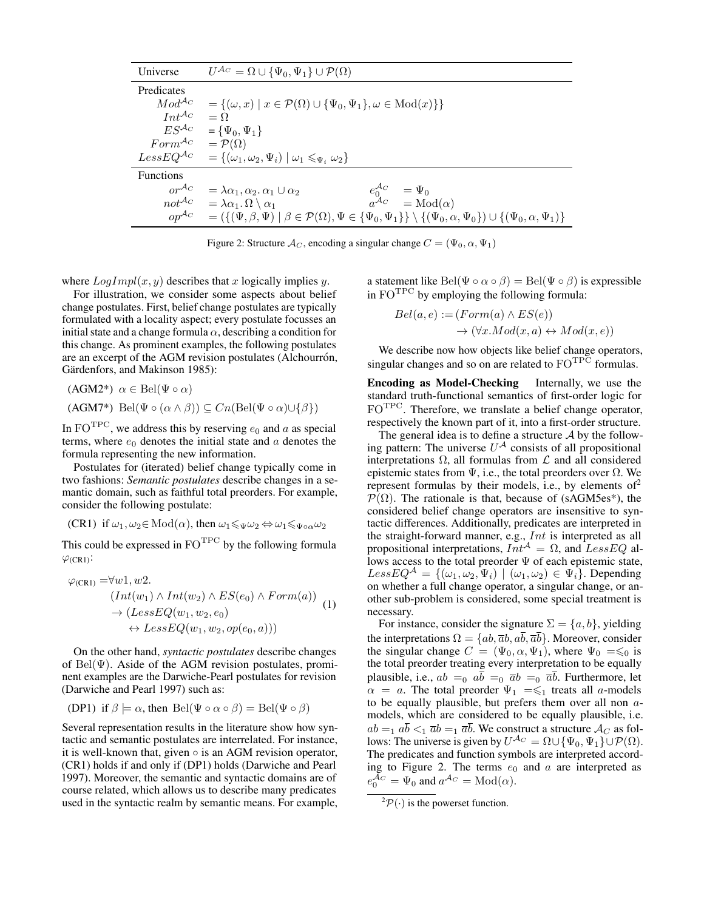<span id="page-2-3"></span>

| Universe                                     | $U^{\mathcal{A}_C} = \Omega \cup {\Psi_0, \Psi_1} \cup \mathcal{P}(\Omega)$                                                                                          |
|----------------------------------------------|----------------------------------------------------------------------------------------------------------------------------------------------------------------------|
| Predicates                                   |                                                                                                                                                                      |
| $Mod^{A_C}$                                  | $=\{(\omega, x) \mid x \in \mathcal{P}(\Omega) \cup \{\Psi_0, \Psi_1\}, \omega \in \text{Mod}(x)\}\$                                                                 |
| $Int^{A_C}$                                  | $=$ $\Omega$                                                                                                                                                         |
| $ES^{\mathcal{A}_{C}}$                       | $= {\Psi_0, \Psi_1}$                                                                                                                                                 |
| $Form^{\mathcal{A}_C} = \mathcal{P}(\Omega)$ |                                                                                                                                                                      |
|                                              | Less $EQ^{\mathcal{A}_C} = \{(\omega_1, \omega_2, \Psi_i) \mid \omega_1 \leq \Psi_i \omega_2\}$                                                                      |
| <b>Functions</b>                             |                                                                                                                                                                      |
| $or^{\mathcal{A}_C}$                         | $e_0^{A_C} = \Psi_0$<br>$= \lambda \alpha_1, \alpha_2, \alpha_1 \cup \alpha_2$                                                                                       |
| $not^{A_C}$                                  | $a^{\mathcal{A}_C} = \text{Mod}(\alpha)$<br>$= \lambda \alpha_1 \cdot \Omega \setminus \alpha_1$                                                                     |
| $op^{\mathcal{A}_C}$                         | $= (\{(\Psi, \beta, \Psi) \mid \beta \in \mathcal{P}(\Omega), \Psi \in {\Psi_0, \Psi_1}\} \setminus {\{\Psi_0, \alpha, \Psi_0\}}) \cup {\{\Psi_0, \alpha, \Psi_1\}}$ |

Figure 2: Structure  $\mathcal{A}_C$ , encoding a singular change  $C = (\Psi_0, \alpha, \Psi_1)$ 

where  $LogImpl(x, y)$  describes that x logically implies y.

For illustration, we consider some aspects about belief change postulates. First, belief change postulates are typically formulated with a locality aspect; every postulate focusses an initial state and a change formula  $\alpha$ , describing a condition for this change. As prominent examples, the following postulates are an excerpt of the AGM revision postulates (Alchourrón, Gärdenfors, and Makinson 1985):

$$
(\text{AGM2*}) \ \alpha \in \text{Bel}(\Psi \circ \alpha)
$$

(AGM7\*) Bel( $\Psi \circ (\alpha \wedge \beta)$ ) ⊂  $Cn(\text{Bel}(\Psi \circ \alpha) \cup {\beta})$ )

In FO<sup>TPC</sup>, we address this by reserving  $e_0$  and a as special terms, where  $e_0$  denotes the initial state and  $\alpha$  denotes the formula representing the new information.

Postulates for (iterated) belief change typically come in two fashions: *Semantic postulates* describe changes in a semantic domain, such as faithful total preorders. For example, consider the following postulate:

<span id="page-2-0"></span>
$$
(CR1) if  $\omega_1, \omega_2 \in \text{Mod}(\alpha)$ , then  $\omega_1 \leq \psi \omega_2 \Leftrightarrow \omega_1 \leq \psi \circ \alpha \omega_2$
$$

<span id="page-2-4"></span>This could be expressed in  $FO<sup>TPC</sup>$  by the following formula  $\varphi$ [\(CR1\)](#page-2-0):

$$
\varphi_{\text{(CR1)}} = \forall w1, w2. \n(Int(w_1) \land Int(w_2) \land ES(e_0) \land Form(a)) \n\to (LessEQ(w_1, w_2, e_0) \n\leftrightarrow LessEQ(w_1, w_2, op(e_0, a)))
$$
\n(1)

On the other hand, *syntactic postulates* describe changes of  $Bel(\Psi)$ . Aside of the AGM revision postulates, prominent examples are the Darwiche-Pearl postulates for revision [\(Darwiche and Pearl 1997\)](#page-4-0) such as:

<span id="page-2-1"></span>
$$
(DP1) if  $\beta \models \alpha$ , then  $\text{Bel}(\Psi \circ \alpha \circ \beta) = \text{Bel}(\Psi \circ \beta)$
$$

Several representation results in the literature show how syntactic and semantic postulates are interrelated. For instance, it is well-known that, given  $\circ$  is an AGM revision operator, [\(CR1\)](#page-2-0) holds if and only if [\(DP1\)](#page-2-1) holds [\(Darwiche and Pearl](#page-4-0) [1997\)](#page-4-0). Moreover, the semantic and syntactic domains are of course related, which allows us to describe many predicates used in the syntactic realm by semantic means. For example,

a statement like Bel( $\Psi \circ \alpha \circ \beta$ ) = Bel( $\Psi \circ \beta$ ) is expressible in  $FO<sup>TPC</sup>$  by employing the following formula:

$$
Bel(a, e) := (Form(a) \land ES(e))
$$
  

$$
\rightarrow (\forall x. Mod(x, a) \leftrightarrow Mod(x, e))
$$

We describe now how objects like belief change operators, singular changes and so on are related to  $FO^{TPC}$  formulas.

<span id="page-2-5"></span>Encoding as Model-Checking Internally, we use the standard truth-functional semantics of first-order logic for FOTPC. Therefore, we translate a belief change operator, respectively the known part of it, into a first-order structure.

The general idea is to define a structure  $A$  by the following pattern: The universe  $U^{\mathcal{A}}$  consists of all propositional interpretations Ω, all formulas from L and all considered epistemic states from  $\Psi$ , i.e., the total preorders over  $\Omega$ . We represent formulas by their models, i.e., by elements of  $2^2$  $2^2$  $\mathcal{P}(\Omega)$ . The rationale is that, because of (sAGM5es<sup>\*</sup>), the considered belief change operators are insensitive to syntactic differences. Additionally, predicates are interpreted in the straight-forward manner, e.g., Int is interpreted as all propositional interpretations,  $\overline{Int}^{\mathcal{A}} = \Omega$ , and  $\overline{L}$ essEQ allows access to the total preorder  $\Psi$  of each epistemic state,  $LessEQ^{\mathcal{A}} = \{(\omega_1, \omega_2, \Psi_i) \mid (\omega_1, \omega_2) \in \Psi_i\}.$  Depending on whether a full change operator, a singular change, or another sub-problem is considered, some special treatment is necessary.

For instance, consider the signature  $\Sigma = \{a, b\}$ , yielding the interpretations  $\Omega = \{ab, \overline{a}b, a\overline{b}, \overline{a}\overline{b}\}\.$  Moreover, consider the singular change  $C = (\Psi_0, \alpha, \Psi_1)$ , where  $\Psi_0 = \leq 0$  is the total preorder treating every interpretation to be equally plausible, i.e.,  $ab =_0 \overline{ab} =_0 \overline{ab} =_0 \overline{ab}$ . Furthermore, let  $\alpha = a$ . The total preorder  $\Psi_1 = \xi_1$  treats all a-models to be equally plausible, but prefers them over all non amodels, which are considered to be equally plausible, i.e.  $ab =_1 ab <_1 \overline{a}b =_1 \overline{a}b$ . We construct a structure  $\mathcal{A}_C$  as follows: The universe is given by  $U^{\mathcal{A}_C} = \Omega \cup {\Psi_0, \Psi_1} \cup \mathcal{P}(\Omega)$ . The predicates and function symbols are interpreted accord-ing to Figure [2.](#page-2-3) The terms  $e_0$  and a are interpreted as  $e_0^{\mathcal{A}_C} = \Psi_0$  and  $a^{\mathcal{A}_C} = \text{Mod}(\alpha)$ .

<span id="page-2-2"></span> ${}^{2}P(\cdot)$  is the powerset function.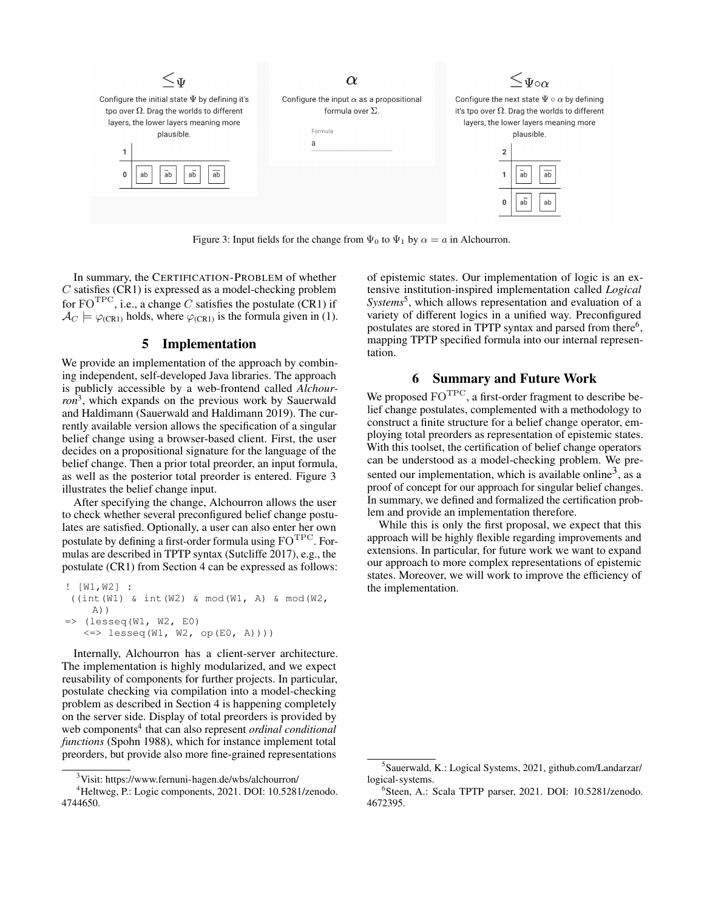<span id="page-3-1"></span>

Figure 3: Input fields for the change from  $\Psi_0$  to  $\Psi_1$  by  $\alpha = a$  in Alchourron.

In summary, the CERTIFICATION-PROBLEM of whether  $C$  satisfies [\(CR1\)](#page-2-0) is expressed as a model-checking problem for  $FO<sup>TPC</sup>$ , i.e., a change C satisfies the postulate [\(CR1\)](#page-2-0) if  $\mathcal{A}_C \models \varphi_{C(R1)}$  holds, where  $\varphi_{C(R1)}$  is the formula given in [\(1\)](#page-2-4).

## 5 Implementation

We provide an implementation of the approach by combining independent, self-developed Java libraries. The approach is publicly accessible by a web-frontend called *Alchourron*[3](#page-3-0) , which expands on the previous work by Sauerwald and Haldimann [\(Sauerwald and Haldimann 2019\)](#page-4-20). The currently available version allows the specification of a singular belief change using a browser-based client. First, the user decides on a propositional signature for the language of the belief change. Then a prior total preorder, an input formula, as well as the posterior total preorder is entered. Figure [3](#page-3-1) illustrates the belief change input.

After specifying the change, Alchourron allows the user to check whether several preconfigured belief change postulates are satisfied. Optionally, a user can also enter her own postulate by defining a first-order formula using  $FO^{TPC}$ . Formulas are described in TPTP syntax [\(Sutcliffe 2017\)](#page-4-21), e.g., the postulate [\(CR1\)](#page-2-0) from Section [4](#page-1-3) can be expressed as follows:

```
! [W1,W2] :
((int(W1) & int(W2) & mod(W1, A) & mod(W2,
    A))
\Rightarrow (lesseq(W1, W2, E0)
   \le lesseq(W1, W2, op(E0, A))))
```
Internally, Alchourron has a client-server architecture. The implementation is highly modularized, and we expect reusability of components for further projects. In particular, postulate checking via compilation into a model-checking problem as described in Section [4](#page-2-5) is happening completely on the server side. Display of total preorders is provided by web components<sup>[4](#page-3-2)</sup> that can also represent *ordinal conditional functions* [\(Spohn 1988\)](#page-4-22), which for instance implement total preorders, but provide also more fine-grained representations

of epistemic states. Our implementation of logic is an extensive institution-inspired implementation called *Logical* Systems<sup>[5](#page-3-3)</sup>, which allows representation and evaluation of a variety of different logics in a unified way. Preconfigured postulates are stored in TPTP syntax and parsed from there<sup>[6](#page-3-4)</sup>, mapping TPTP specified formula into our internal representation.

# 6 Summary and Future Work

We proposed  $FO^{TPC}$ , a first-order fragment to describe belief change postulates, complemented with a methodology to construct a finite structure for a belief change operator, employing total preorders as representation of epistemic states. With this toolset, the certification of belief change operators can be understood as a model-checking problem. We pre-sented our implementation, which is available online<sup>[3](#page-3-0)</sup>, as a proof of concept for our approach for singular belief changes. In summary, we defined and formalized the certification problem and provide an implementation therefore.

While this is only the first proposal, we expect that this approach will be highly flexible regarding improvements and extensions. In particular, for future work we want to expand our approach to more complex representations of epistemic states. Moreover, we will work to improve the efficiency of the implementation.

<span id="page-3-2"></span><span id="page-3-0"></span><sup>3</sup>Visit:<https://www.fernuni-hagen.de/wbs/alchourron/>

<sup>4</sup>Heltweg, P.: Logic components, 2021. DOI: [10.5281/zenodo.](https://zenodo.org/badge/latestdoi/365273738) [4744650.](https://zenodo.org/badge/latestdoi/365273738)

<span id="page-3-3"></span><sup>5</sup> Sauerwald, K.: Logical Systems, 2021, [github.com/Landarzar/](https://github.com/ Landarzar/logical-systems) [logical-systems.](https://github.com/ Landarzar/logical-systems)

<span id="page-3-4"></span><sup>6</sup> Steen, A.: Scala TPTP parser, 2021. DOI: [10.5281/zenodo.](https://zenodo.org/badge/latestdoi/328686203) [4672395.](https://zenodo.org/badge/latestdoi/328686203)